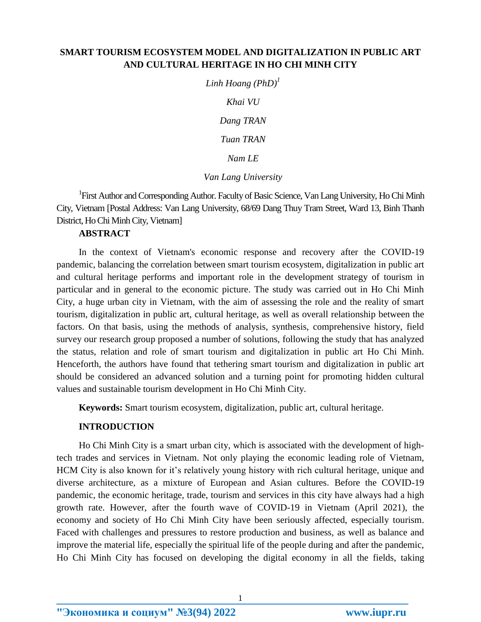# **SMART TOURISM ECOSYSTEM MODEL AND DIGITALIZATION IN PUBLIC ART AND CULTURAL HERITAGE IN HO CHI MINH CITY**

*Linh Hoang (PhD) 1 Khai VU Dang TRAN Tuan TRAN Nam LE*

#### *Van Lang University*

<sup>1</sup>First Author and Corresponding Author. Faculty of Basic Science, Van Lang University, Ho Chi Minh City, Vietnam [Postal Address: Van Lang University, 68/69 Dang Thuy Tram Street, Ward 13, Binh Thanh District, Ho Chi Minh City, Vietnam]

## **ABSTRACT**

In the context of Vietnam's economic response and recovery after the COVID-19 pandemic, balancing the correlation between smart tourism ecosystem, digitalization in public art and cultural heritage performs and important role in the development strategy of tourism in particular and in general to the economic picture. The study was carried out in Ho Chi Minh City, a huge urban city in Vietnam, with the aim of assessing the role and the reality of smart tourism, digitalization in public art, cultural heritage, as well as overall relationship between the factors. On that basis, using the methods of analysis, synthesis, comprehensive history, field survey our research group proposed a number of solutions, following the study that has analyzed the status, relation and role of smart tourism and digitalization in public art Ho Chi Minh. Henceforth, the authors have found that tethering smart tourism and digitalization in public art should be considered an advanced solution and a turning point for promoting hidden cultural values and sustainable tourism development in Ho Chi Minh City.

**Keywords:** Smart tourism ecosystem, digitalization, public art, cultural heritage.

### **INTRODUCTION**

Ho Chi Minh City is a smart urban city, which is associated with the development of hightech trades and services in Vietnam. Not only playing the economic leading role of Vietnam, HCM City is also known for it's relatively young history with rich cultural heritage, unique and diverse architecture, as a mixture of European and Asian cultures. Before the COVID-19 pandemic, the economic heritage, trade, tourism and services in this city have always had a high growth rate. However, after the fourth wave of COVID-19 in Vietnam (April 2021), the economy and society of Ho Chi Minh City have been seriously affected, especially tourism. Faced with challenges and pressures to restore production and business, as well as balance and improve the material life, especially the spiritual life of the people during and after the pandemic, Ho Chi Minh City has focused on developing the digital economy in all the fields, taking

**"Экономика и социум" №3(94) 2022 www.iupr.ru**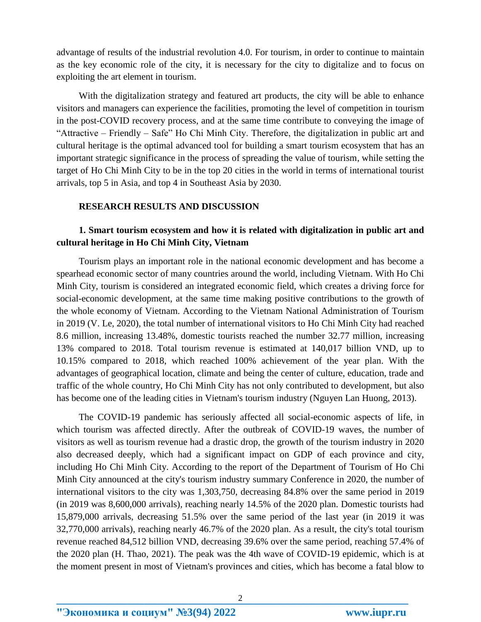advantage of results of the industrial revolution 4.0. For tourism, in order to continue to maintain as the key economic role of the city, it is necessary for the city to digitalize and to focus on exploiting the art element in tourism.

With the digitalization strategy and featured art products, the city will be able to enhance visitors and managers can experience the facilities, promoting the level of competition in tourism in the post-COVID recovery process, and at the same time contribute to conveying the image of "Attractive – Friendly – Safe" Ho Chi Minh City. Therefore, the digitalization in public art and cultural heritage is the optimal advanced tool for building a smart tourism ecosystem that has an important strategic significance in the process of spreading the value of tourism, while setting the target of Ho Chi Minh City to be in the top 20 cities in the world in terms of international tourist arrivals, top 5 in Asia, and top 4 in Southeast Asia by 2030.

#### **RESEARCH RESULTS AND DISCUSSION**

# **1. Smart tourism ecosystem and how it is related with digitalization in public art and cultural heritage in Ho Chi Minh City, Vietnam**

Tourism plays an important role in the national economic development and has become a spearhead economic sector of many countries around the world, including Vietnam. With Ho Chi Minh City, tourism is considered an integrated economic field, which creates a driving force for social-economic development, at the same time making positive contributions to the growth of the whole economy of Vietnam. According to the Vietnam National Administration of Tourism in 2019 (V. Le, 2020), the total number of international visitors to Ho Chi Minh City had reached 8.6 million, increasing 13.48%, domestic tourists reached the number 32.77 million, increasing 13% compared to 2018. Total tourism revenue is estimated at 140,017 billion VND, up to 10.15% compared to 2018, which reached 100% achievement of the year plan. With the advantages of geographical location, climate and being the center of culture, education, trade and traffic of the whole country, Ho Chi Minh City has not only contributed to development, but also has become one of the leading cities in Vietnam's tourism industry (Nguyen Lan Huong, 2013).

The COVID-19 pandemic has seriously affected all social-economic aspects of life, in which tourism was affected directly. After the outbreak of COVID-19 waves, the number of visitors as well as tourism revenue had a drastic drop, the growth of the tourism industry in 2020 also decreased deeply, which had a significant impact on GDP of each province and city, including Ho Chi Minh City. According to the report of the Department of Tourism of Ho Chi Minh City announced at the city's tourism industry summary Conference in 2020, the number of international visitors to the city was 1,303,750, decreasing 84.8% over the same period in 2019 (in 2019 was 8,600,000 arrivals), reaching nearly 14.5% of the 2020 plan. Domestic tourists had 15,879,000 arrivals, decreasing 51.5% over the same period of the last year (in 2019 it was 32,770,000 arrivals), reaching nearly 46.7% of the 2020 plan. As a result, the city's total tourism revenue reached 84,512 billion VND, decreasing 39.6% over the same period, reaching 57.4% of the 2020 plan (H. Thao, 2021). The peak was the 4th wave of COVID-19 epidemic, which is at the moment present in most of Vietnam's provinces and cities, which has become a fatal blow to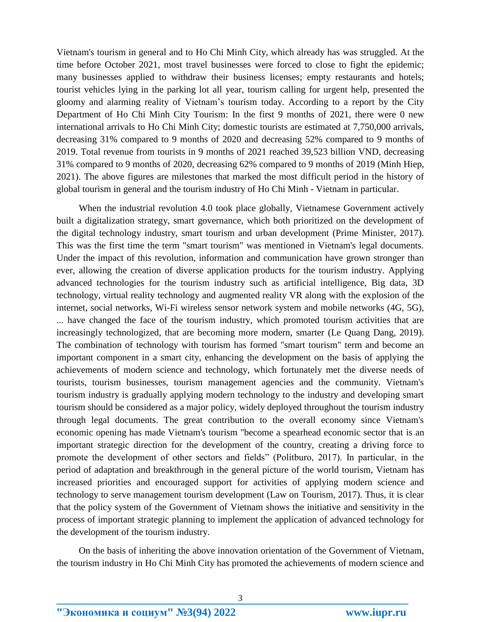Vietnam's tourism in general and to Ho Chi Minh City, which already has was struggled. At the time before October 2021, most travel businesses were forced to close to fight the epidemic; many businesses applied to withdraw their business licenses; empty restaurants and hotels; tourist vehicles lying in the parking lot all year, tourism calling for urgent help, presented the gloomy and alarming reality of Vietnam's tourism today. According to a report by the City Department of Ho Chi Minh City Tourism: In the first 9 months of 2021, there were 0 new international arrivals to Ho Chi Minh City; domestic tourists are estimated at 7,750,000 arrivals, decreasing 31% compared to 9 months of 2020 and decreasing 52% compared to 9 months of 2019. Total revenue from tourists in 9 months of 2021 reached 39,523 billion VND, decreasing 31% compared to 9 months of 2020, decreasing 62% compared to 9 months of 2019 (Minh Hiep, 2021). The above figures are milestones that marked the most difficult period in the history of global tourism in general and the tourism industry of Ho Chi Minh - Vietnam in particular.

When the industrial revolution 4.0 took place globally, Vietnamese Government actively built a digitalization strategy, smart governance, which both prioritized on the development of the digital technology industry, smart tourism and urban development (Prime Minister, 2017). This was the first time the term "smart tourism" was mentioned in Vietnam's legal documents. Under the impact of this revolution, information and communication have grown stronger than ever, allowing the creation of diverse application products for the tourism industry. Applying advanced technologies for the tourism industry such as artificial intelligence, Big data, 3D technology, virtual reality technology and augmented reality VR along with the explosion of the internet, social networks, Wi-Fi wireless sensor network system and mobile networks (4G, 5G), ... have changed the face of the tourism industry, which promoted tourism activities that are increasingly technologized, that are becoming more modern, smarter (Le Quang Dang, 2019). The combination of technology with tourism has formed "smart tourism" term and become an important component in a smart city, enhancing the development on the basis of applying the achievements of modern science and technology, which fortunately met the diverse needs of tourists, tourism businesses, tourism management agencies and the community. Vietnam's tourism industry is gradually applying modern technology to the industry and developing smart tourism should be considered as a major policy, widely deployed throughout the tourism industry through legal documents. The great contribution to the overall economy since Vietnam's economic opening has made Vietnam's tourism "become a spearhead economic sector that is an important strategic direction for the development of the country, creating a driving force to promote the development of other sectors and fields" (Politburo, 2017). In particular, in the period of adaptation and breakthrough in the general picture of the world tourism, Vietnam has increased priorities and encouraged support for activities of applying modern science and technology to serve management tourism development (Law on Tourism, 2017). Thus, it is clear that the policy system of the Government of Vietnam shows the initiative and sensitivity in the process of important strategic planning to implement the application of advanced technology for the development of the tourism industry.

On the basis of inheriting the above innovation orientation of the Government of Vietnam, the tourism industry in Ho Chi Minh City has promoted the achievements of modern science and

**"Экономика и социум" №3(94) 2022 www.iupr.ru**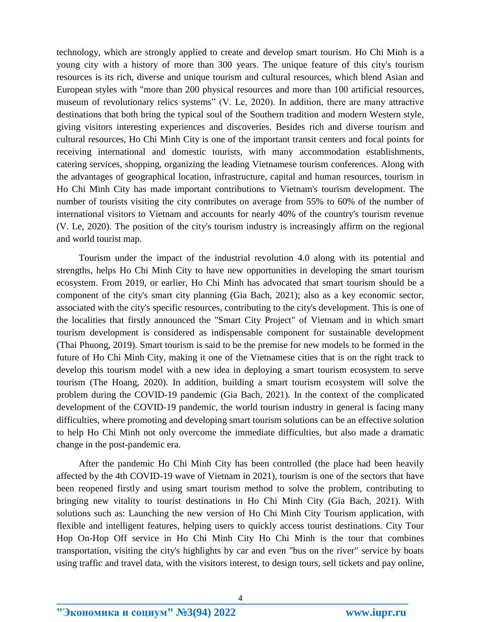technology, which are strongly applied to create and develop smart tourism. Ho Chi Minh is a young city with a history of more than 300 years. The unique feature of this city's tourism resources is its rich, diverse and unique tourism and cultural resources, which blend Asian and European styles with "more than 200 physical resources and more than 100 artificial resources, museum of revolutionary relics systems" (V. Le, 2020). In addition, there are many attractive destinations that both bring the typical soul of the Southern tradition and modern Western style, giving visitors interesting experiences and discoveries. Besides rich and diverse tourism and cultural resources, Ho Chi Minh City is one of the important transit centers and focal points for receiving international and domestic tourists, with many accommodation establishments, catering services, shopping, organizing the leading Vietnamese tourism conferences. Along with the advantages of geographical location, infrastructure, capital and human resources, tourism in Ho Chi Minh City has made important contributions to Vietnam's tourism development. The number of tourists visiting the city contributes on average from 55% to 60% of the number of international visitors to Vietnam and accounts for nearly 40% of the country's tourism revenue (V. Le, 2020). The position of the city's tourism industry is increasingly affirm on the regional and world tourist map.

Tourism under the impact of the industrial revolution 4.0 along with its potential and strengths, helps Ho Chi Minh City to have new opportunities in developing the smart tourism ecosystem. From 2019, or earlier, Ho Chi Minh has advocated that smart tourism should be a component of the city's smart city planning (Gia Bach, 2021); also as a key economic sector, associated with the city's specific resources, contributing to the city's development. This is one of the localities that firstly announced the "Smart City Project" of Vietnam and in which smart tourism development is considered as indispensable component for sustainable development (Thai Phuong, 2019). Smart tourism is said to be the premise for new models to be formed in the future of Ho Chi Minh City, making it one of the Vietnamese cities that is on the right track to develop this tourism model with a new idea in deploying a smart tourism ecosystem to serve tourism (The Hoang, 2020). In addition, building a smart tourism ecosystem will solve the problem during the COVID-19 pandemic (Gia Bach, 2021). In the context of the complicated development of the COVID-19 pandemic, the world tourism industry in general is facing many difficulties, where promoting and developing smart tourism solutions can be an effective solution to help Ho Chi Minh not only overcome the immediate difficulties, but also made a dramatic change in the post-pandemic era.

After the pandemic Ho Chi Minh City has been controlled (the place had been heavily affected by the 4th COVID-19 wave of Vietnam in 2021), tourism is one of the sectors that have been reopened firstly and using smart tourism method to solve the problem, contributing to bringing new vitality to tourist destinations in Ho Chi Minh City (Gia Bach, 2021). With solutions such as: Launching the new version of Ho Chi Minh City Tourism application, with flexible and intelligent features, helping users to quickly access tourist destinations. City Tour Hop On-Hop Off service in Ho Chi Minh City Ho Chi Minh is the tour that combines transportation, visiting the city's highlights by car and even "bus on the river" service by boats using traffic and travel data, with the visitors interest, to design tours, sell tickets and pay online,

**"Экономика и социум" №3(94) 2022 www.iupr.ru**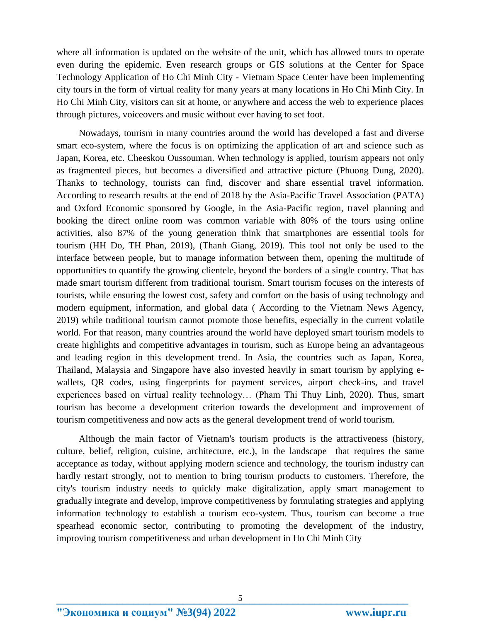where all information is updated on the website of the unit, which has allowed tours to operate even during the epidemic. Even research groups or GIS solutions at the Center for Space Technology Application of Ho Chi Minh City - Vietnam Space Center have been implementing city tours in the form of virtual reality for many years at many locations in Ho Chi Minh City. In Ho Chi Minh City, visitors can sit at home, or anywhere and access the web to experience places through pictures, voiceovers and music without ever having to set foot.

Nowadays, tourism in many countries around the world has developed a fast and diverse smart eco-system, where the focus is on optimizing the application of art and science such as Japan, Korea, etc. Cheeskou Oussouman. When technology is applied, tourism appears not only as fragmented pieces, but becomes a diversified and attractive picture (Phuong Dung, 2020). Thanks to technology, tourists can find, discover and share essential travel information. According to research results at the end of 2018 by the Asia-Pacific Travel Association (PATA) and Oxford Economic sponsored by Google, in the Asia-Pacific region, travel planning and booking the direct online room was common variable with 80% of the tours using online activities, also 87% of the young generation think that smartphones are essential tools for tourism (HH Do, TH Phan, 2019), (Thanh Giang, 2019). This tool not only be used to the interface between people, but to manage information between them, opening the multitude of opportunities to quantify the growing clientele, beyond the borders of a single country. That has made smart tourism different from traditional tourism. Smart tourism focuses on the interests of tourists, while ensuring the lowest cost, safety and comfort on the basis of using technology and modern equipment, information, and global data ( According to the Vietnam News Agency, 2019) while traditional tourism cannot promote those benefits, especially in the current volatile world. For that reason, many countries around the world have deployed smart tourism models to create highlights and competitive advantages in tourism, such as Europe being an advantageous and leading region in this development trend. In Asia, the countries such as Japan, Korea, Thailand, Malaysia and Singapore have also invested heavily in smart tourism by applying ewallets, QR codes, using fingerprints for payment services, airport check-ins, and travel experiences based on virtual reality technology… (Pham Thi Thuy Linh, 2020). Thus, smart tourism has become a development criterion towards the development and improvement of tourism competitiveness and now acts as the general development trend of world tourism.

Although the main factor of Vietnam's tourism products is the attractiveness (history, culture, belief, religion, cuisine, architecture, etc.), in the landscape that requires the same acceptance as today, without applying modern science and technology, the tourism industry can hardly restart strongly, not to mention to bring tourism products to customers. Therefore, the city's tourism industry needs to quickly make digitalization, apply smart management to gradually integrate and develop, improve competitiveness by formulating strategies and applying information technology to establish a tourism eco-system. Thus, tourism can become a true spearhead economic sector, contributing to promoting the development of the industry, improving tourism competitiveness and urban development in Ho Chi Minh City

**"Экономика и социум" №3(94) 2022 www.iupr.ru**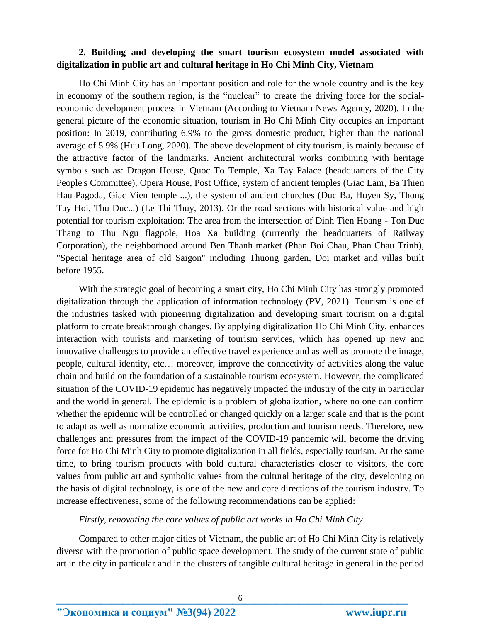# **2. Building and developing the smart tourism ecosystem model associated with digitalization in public art and cultural heritage in Ho Chi Minh City, Vietnam**

Ho Chi Minh City has an important position and role for the whole country and is the key in economy of the southern region, is the "nuclear" to create the driving force for the socialeconomic development process in Vietnam (According to Vietnam News Agency, 2020). In the general picture of the economic situation, tourism in Ho Chi Minh City occupies an important position: In 2019, contributing 6.9% to the gross domestic product, higher than the national average of 5.9% (Huu Long, 2020). The above development of city tourism, is mainly because of the attractive factor of the landmarks. Ancient architectural works combining with heritage symbols such as: Dragon House, Quoc To Temple, Xa Tay Palace (headquarters of the City People's Committee), Opera House, Post Office, system of ancient temples (Giac Lam, Ba Thien Hau Pagoda, Giac Vien temple ...), the system of ancient churches (Duc Ba, Huyen Sy, Thong Tay Hoi, Thu Duc...) (Le Thi Thuy, 2013). Or the road sections with historical value and high potential for tourism exploitation: The area from the intersection of Dinh Tien Hoang - Ton Duc Thang to Thu Ngu flagpole, Hoa Xa building (currently the headquarters of Railway Corporation), the neighborhood around Ben Thanh market (Phan Boi Chau, Phan Chau Trinh), "Special heritage area of old Saigon" including Thuong garden, Doi market and villas built before 1955.

With the strategic goal of becoming a smart city, Ho Chi Minh City has strongly promoted digitalization through the application of information technology (PV, 2021). Tourism is one of the industries tasked with pioneering digitalization and developing smart tourism on a digital platform to create breakthrough changes. By applying digitalization Ho Chi Minh City, enhances interaction with tourists and marketing of tourism services, which has opened up new and innovative challenges to provide an effective travel experience and as well as promote the image, people, cultural identity, etc… moreover, improve the connectivity of activities along the value chain and build on the foundation of a sustainable tourism ecosystem. However, the complicated situation of the COVID-19 epidemic has negatively impacted the industry of the city in particular and the world in general. The epidemic is a problem of globalization, where no one can confirm whether the epidemic will be controlled or changed quickly on a larger scale and that is the point to adapt as well as normalize economic activities, production and tourism needs. Therefore, new challenges and pressures from the impact of the COVID-19 pandemic will become the driving force for Ho Chi Minh City to promote digitalization in all fields, especially tourism. At the same time, to bring tourism products with bold cultural characteristics closer to visitors, the core values from public art and symbolic values from the cultural heritage of the city, developing on the basis of digital technology, is one of the new and core directions of the tourism industry. To increase effectiveness, some of the following recommendations can be applied:

### *Firstly, renovating the core values of public art works in Ho Chi Minh City*

Compared to other major cities of Vietnam, the public art of Ho Chi Minh City is relatively diverse with the promotion of public space development. The study of the current state of public art in the city in particular and in the clusters of tangible cultural heritage in general in the period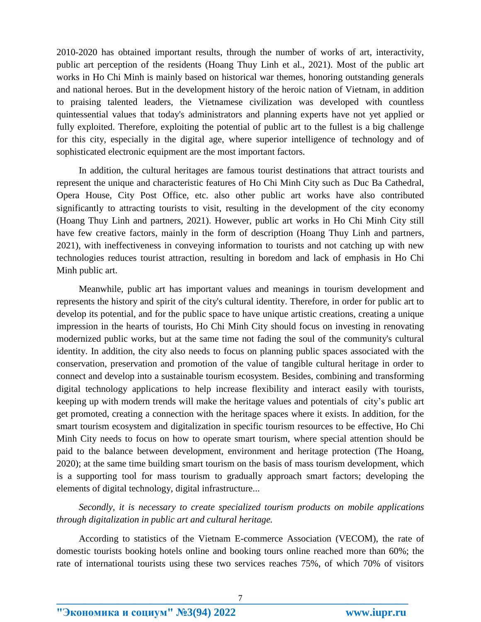2010-2020 has obtained important results, through the number of works of art, interactivity, public art perception of the residents (Hoang Thuy Linh et al., 2021). Most of the public art works in Ho Chi Minh is mainly based on historical war themes, honoring outstanding generals and national heroes. But in the development history of the heroic nation of Vietnam, in addition to praising talented leaders, the Vietnamese civilization was developed with countless quintessential values that today's administrators and planning experts have not yet applied or fully exploited. Therefore, exploiting the potential of public art to the fullest is a big challenge for this city, especially in the digital age, where superior intelligence of technology and of sophisticated electronic equipment are the most important factors.

In addition, the cultural heritages are famous tourist destinations that attract tourists and represent the unique and characteristic features of Ho Chi Minh City such as Duc Ba Cathedral, Opera House, City Post Office, etc. also other public art works have also contributed significantly to attracting tourists to visit, resulting in the development of the city economy (Hoang Thuy Linh and partners, 2021). However, public art works in Ho Chi Minh City still have few creative factors, mainly in the form of description (Hoang Thuy Linh and partners, 2021), with ineffectiveness in conveying information to tourists and not catching up with new technologies reduces tourist attraction, resulting in boredom and lack of emphasis in Ho Chi Minh public art.

Meanwhile, public art has important values and meanings in tourism development and represents the history and spirit of the city's cultural identity. Therefore, in order for public art to develop its potential, and for the public space to have unique artistic creations, creating a unique impression in the hearts of tourists, Ho Chi Minh City should focus on investing in renovating modernized public works, but at the same time not fading the soul of the community's cultural identity. In addition, the city also needs to focus on planning public spaces associated with the conservation, preservation and promotion of the value of tangible cultural heritage in order to connect and develop into a sustainable tourism ecosystem. Besides, combining and transforming digital technology applications to help increase flexibility and interact easily with tourists, keeping up with modern trends will make the heritage values and potentials of city's public art get promoted, creating a connection with the heritage spaces where it exists. In addition, for the smart tourism ecosystem and digitalization in specific tourism resources to be effective, Ho Chi Minh City needs to focus on how to operate smart tourism, where special attention should be paid to the balance between development, environment and heritage protection (The Hoang, 2020); at the same time building smart tourism on the basis of mass tourism development, which is a supporting tool for mass tourism to gradually approach smart factors; developing the elements of digital technology, digital infrastructure...

*Secondly, it is necessary to create specialized tourism products on mobile applications through digitalization in public art and cultural heritage.*

According to statistics of the Vietnam E-commerce Association (VECOM), the rate of domestic tourists booking hotels online and booking tours online reached more than 60%; the rate of international tourists using these two services reaches 75%, of which 70% of visitors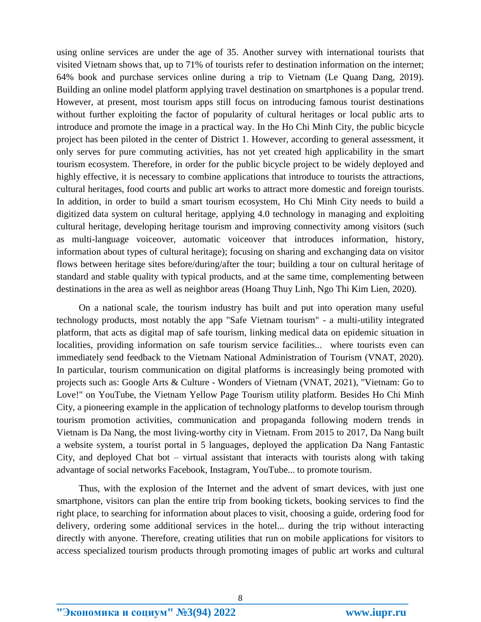using online services are under the age of 35. Another survey with international tourists that visited Vietnam shows that, up to 71% of tourists refer to destination information on the internet; 64% book and purchase services online during a trip to Vietnam (Le Quang Dang, 2019). Building an online model platform applying travel destination on smartphones is a popular trend. However, at present, most tourism apps still focus on introducing famous tourist destinations without further exploiting the factor of popularity of cultural heritages or local public arts to introduce and promote the image in a practical way. In the Ho Chi Minh City, the public bicycle project has been piloted in the center of District 1. However, according to general assessment, it only serves for pure commuting activities, has not yet created high applicability in the smart tourism ecosystem. Therefore, in order for the public bicycle project to be widely deployed and highly effective, it is necessary to combine applications that introduce to tourists the attractions, cultural heritages, food courts and public art works to attract more domestic and foreign tourists. In addition, in order to build a smart tourism ecosystem, Ho Chi Minh City needs to build a digitized data system on cultural heritage, applying 4.0 technology in managing and exploiting cultural heritage, developing heritage tourism and improving connectivity among visitors (such as multi-language voiceover, automatic voiceover that introduces information, history, information about types of cultural heritage); focusing on sharing and exchanging data on visitor flows between heritage sites before/during/after the tour; building a tour on cultural heritage of standard and stable quality with typical products, and at the same time, complementing between destinations in the area as well as neighbor areas (Hoang Thuy Linh, Ngo Thi Kim Lien, 2020).

On a national scale, the tourism industry has built and put into operation many useful technology products, most notably the app "Safe Vietnam tourism" - a multi-utility integrated platform, that acts as digital map of safe tourism, linking medical data on epidemic situation in localities, providing information on safe tourism service facilities... where tourists even can immediately send feedback to the Vietnam National Administration of Tourism (VNAT, 2020). In particular, tourism communication on digital platforms is increasingly being promoted with projects such as: Google Arts & Culture - Wonders of Vietnam (VNAT, 2021), "Vietnam: Go to Love!" on YouTube, the Vietnam Yellow Page Tourism utility platform. Besides Ho Chi Minh City, a pioneering example in the application of technology platforms to develop tourism through tourism promotion activities, communication and propaganda following modern trends in Vietnam is Da Nang, the most living-worthy city in Vietnam. From 2015 to 2017, Da Nang built a website system, a tourist portal in 5 languages, deployed the application Da Nang Fantastic City, and deployed Chat bot – virtual assistant that interacts with tourists along with taking advantage of social networks Facebook, Instagram, YouTube... to promote tourism.

Thus, with the explosion of the Internet and the advent of smart devices, with just one smartphone, visitors can plan the entire trip from booking tickets, booking services to find the right place, to searching for information about places to visit, choosing a guide, ordering food for delivery, ordering some additional services in the hotel... during the trip without interacting directly with anyone. Therefore, creating utilities that run on mobile applications for visitors to access specialized tourism products through promoting images of public art works and cultural

**"Экономика и социум" №3(94) 2022 www.iupr.ru**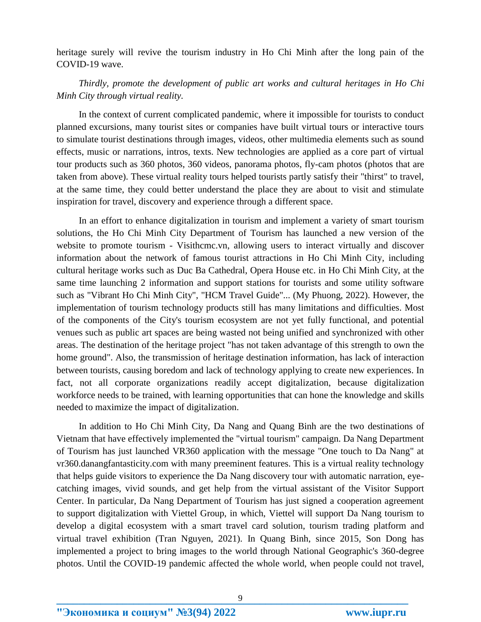heritage surely will revive the tourism industry in Ho Chi Minh after the long pain of the COVID-19 wave.

*Thirdly, promote the development of public art works and cultural heritages in Ho Chi Minh City through virtual reality.*

In the context of current complicated pandemic, where it impossible for tourists to conduct planned excursions, many tourist sites or companies have built virtual tours or interactive tours to simulate tourist destinations through images, videos, other multimedia elements such as sound effects, music or narrations, intros, texts. New technologies are applied as a core part of virtual tour products such as 360 photos, 360 videos, panorama photos, fly-cam photos (photos that are taken from above). These virtual reality tours helped tourists partly satisfy their "thirst" to travel, at the same time, they could better understand the place they are about to visit and stimulate inspiration for travel, discovery and experience through a different space.

In an effort to enhance digitalization in tourism and implement a variety of smart tourism solutions, the Ho Chi Minh City Department of Tourism has launched a new version of the website to promote tourism - Visithcmc.vn, allowing users to interact virtually and discover information about the network of famous tourist attractions in Ho Chi Minh City, including cultural heritage works such as Duc Ba Cathedral, Opera House etc. in Ho Chi Minh City, at the same time launching 2 information and support stations for tourists and some utility software such as "Vibrant Ho Chi Minh City", "HCM Travel Guide"... (My Phuong, 2022). However, the implementation of tourism technology products still has many limitations and difficulties. Most of the components of the City's tourism ecosystem are not yet fully functional, and potential venues such as public art spaces are being wasted not being unified and synchronized with other areas. The destination of the heritage project "has not taken advantage of this strength to own the home ground". Also, the transmission of heritage destination information, has lack of interaction between tourists, causing boredom and lack of technology applying to create new experiences. In fact, not all corporate organizations readily accept digitalization, because digitalization workforce needs to be trained, with learning opportunities that can hone the knowledge and skills needed to maximize the impact of digitalization.

In addition to Ho Chi Minh City, Da Nang and Quang Binh are the two destinations of Vietnam that have effectively implemented the "virtual tourism" campaign. Da Nang Department of Tourism has just launched VR360 application with the message "One touch to Da Nang" at vr360.danangfantasticity.com with many preeminent features. This is a virtual reality technology that helps guide visitors to experience the Da Nang discovery tour with automatic narration, eyecatching images, vivid sounds, and get help from the virtual assistant of the Visitor Support Center. In particular, Da Nang Department of Tourism has just signed a cooperation agreement to support digitalization with Viettel Group, in which, Viettel will support Da Nang tourism to develop a digital ecosystem with a smart travel card solution, tourism trading platform and virtual travel exhibition (Tran Nguyen, 2021). In Quang Binh, since 2015, Son Dong has implemented a project to bring images to the world through National Geographic's 360-degree photos. Until the COVID-19 pandemic affected the whole world, when people could not travel,

**<sup>&</sup>quot;Экономика и социум" №3(94) 2022 www.iupr.ru**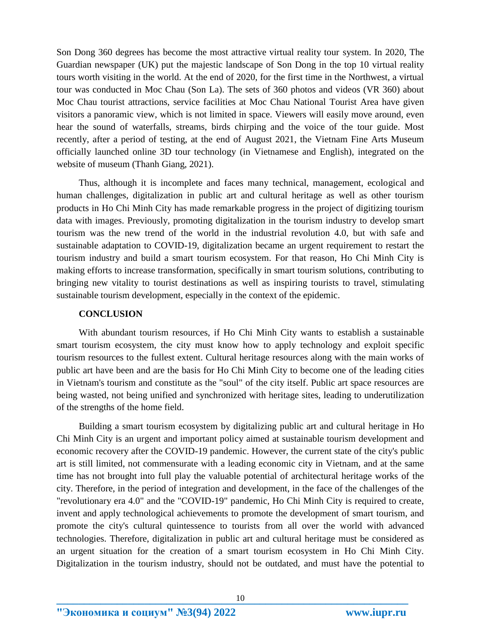Son Dong 360 degrees has become the most attractive virtual reality tour system. In 2020, The Guardian newspaper (UK) put the majestic landscape of Son Dong in the top 10 virtual reality tours worth visiting in the world. At the end of 2020, for the first time in the Northwest, a virtual tour was conducted in Moc Chau (Son La). The sets of 360 photos and videos (VR 360) about Moc Chau tourist attractions, service facilities at Moc Chau National Tourist Area have given visitors a panoramic view, which is not limited in space. Viewers will easily move around, even hear the sound of waterfalls, streams, birds chirping and the voice of the tour guide. Most recently, after a period of testing, at the end of August 2021, the Vietnam Fine Arts Museum officially launched online 3D tour technology (in Vietnamese and English), integrated on the website of museum (Thanh Giang, 2021).

Thus, although it is incomplete and faces many technical, management, ecological and human challenges, digitalization in public art and cultural heritage as well as other tourism products in Ho Chi Minh City has made remarkable progress in the project of digitizing tourism data with images. Previously, promoting digitalization in the tourism industry to develop smart tourism was the new trend of the world in the industrial revolution 4.0, but with safe and sustainable adaptation to COVID-19, digitalization became an urgent requirement to restart the tourism industry and build a smart tourism ecosystem. For that reason, Ho Chi Minh City is making efforts to increase transformation, specifically in smart tourism solutions, contributing to bringing new vitality to tourist destinations as well as inspiring tourists to travel, stimulating sustainable tourism development, especially in the context of the epidemic.

#### **CONCLUSION**

With abundant tourism resources, if Ho Chi Minh City wants to establish a sustainable smart tourism ecosystem, the city must know how to apply technology and exploit specific tourism resources to the fullest extent. Cultural heritage resources along with the main works of public art have been and are the basis for Ho Chi Minh City to become one of the leading cities in Vietnam's tourism and constitute as the "soul" of the city itself. Public art space resources are being wasted, not being unified and synchronized with heritage sites, leading to underutilization of the strengths of the home field.

Building a smart tourism ecosystem by digitalizing public art and cultural heritage in Ho Chi Minh City is an urgent and important policy aimed at sustainable tourism development and economic recovery after the COVID-19 pandemic. However, the current state of the city's public art is still limited, not commensurate with a leading economic city in Vietnam, and at the same time has not brought into full play the valuable potential of architectural heritage works of the city. Therefore, in the period of integration and development, in the face of the challenges of the "revolutionary era 4.0" and the "COVID-19" pandemic, Ho Chi Minh City is required to create, invent and apply technological achievements to promote the development of smart tourism, and promote the city's cultural quintessence to tourists from all over the world with advanced technologies. Therefore, digitalization in public art and cultural heritage must be considered as an urgent situation for the creation of a smart tourism ecosystem in Ho Chi Minh City. Digitalization in the tourism industry, should not be outdated, and must have the potential to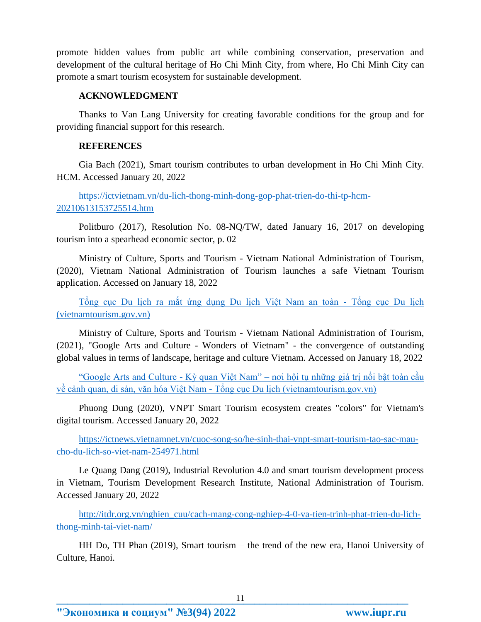promote hidden values from public art while combining conservation, preservation and development of the cultural heritage of Ho Chi Minh City, from where, Ho Chi Minh City can promote a smart tourism ecosystem for sustainable development.

## **ACKNOWLEDGMENT**

Thanks to Van Lang University for creating favorable conditions for the group and for providing financial support for this research.

## **REFERENCES**

Gia Bach (2021), Smart tourism contributes to urban development in Ho Chi Minh City. HCM. Accessed January 20, 2022

[https://ictvietnam.vn/du-lich-thong-minh-dong-gop-phat-trien-do-thi-tp-hcm-](https://ictvietnam.vn/du-lich-thong-minh-dong-gop-phat-trien-do-thi-tp-hcm-20210613153725514.htm)[20210613153725514.htm](https://ictvietnam.vn/du-lich-thong-minh-dong-gop-phat-trien-do-thi-tp-hcm-20210613153725514.htm)

Politburo (2017), Resolution No. 08-NQ/TW, dated January 16, 2017 on developing tourism into a spearhead economic sector, p. 02

Ministry of Culture, Sports and Tourism - Vietnam National Administration of Tourism, (2020), Vietnam National Administration of Tourism launches a safe Vietnam Tourism application. Accessed on January 18, 2022

[Tổng cục Du lịch ra mắt ứng dụng Du lịch Việt Nam an toàn -](https://vietnamtourism.gov.vn/index.php/items/34357) Tổng cục Du lịch [\(vietnamtourism.gov.vn\)](https://vietnamtourism.gov.vn/index.php/items/34357)

Ministry of Culture, Sports and Tourism - Vietnam National Administration of Tourism, (2021), "Google Arts and Culture - Wonders of Vietnam" - the convergence of outstanding global values in terms of landscape, heritage and culture Vietnam. Accessed on January 18, 2022

"Google Arts and Culture - Kỳ quan Việt Nam" – [nơi hội tụ những giá trị nổi bật toàn cầu](https://vietnamtourism.gov.vn/index.php/items/35411)  về cảnh quan, di sản, văn hóa Việt Nam - [Tổng cục Du lịch \(vietnamtourism.gov.vn\)](https://vietnamtourism.gov.vn/index.php/items/35411)

Phuong Dung (2020), VNPT Smart Tourism ecosystem creates "colors" for Vietnam's digital tourism. Accessed January 20, 2022

[https://ictnews.vietnamnet.vn/cuoc-song-so/he-sinh-thai-vnpt-smart-tourism-tao-sac-mau](https://ictnews.vietnamnet.vn/cuoc-song-so/he-sinh-thai-vnpt-smart-tourism-tao-sac-mau-cho-du-lich-so-viet-nam-254971.html)[cho-du-lich-so-viet-nam-254971.html](https://ictnews.vietnamnet.vn/cuoc-song-so/he-sinh-thai-vnpt-smart-tourism-tao-sac-mau-cho-du-lich-so-viet-nam-254971.html)

Le Quang Dang (2019), Industrial Revolution 4.0 and smart tourism development process in Vietnam, Tourism Development Research Institute, National Administration of Tourism. Accessed January 20, 2022

[http://itdr.org.vn/nghien\\_cuu/cach-mang-cong-nghiep-4-0-va-tien-trinh-phat-trien-du-lich](http://itdr.org.vn/nghien_cuu/cach-mang-cong-nghiep-4-0-va-tien-trinh-phat-trien-du-lich-thong-minh-tai-viet-nam/)[thong-minh-tai-viet-nam/](http://itdr.org.vn/nghien_cuu/cach-mang-cong-nghiep-4-0-va-tien-trinh-phat-trien-du-lich-thong-minh-tai-viet-nam/)

HH Do, TH Phan (2019), Smart tourism – the trend of the new era, Hanoi University of Culture, Hanoi.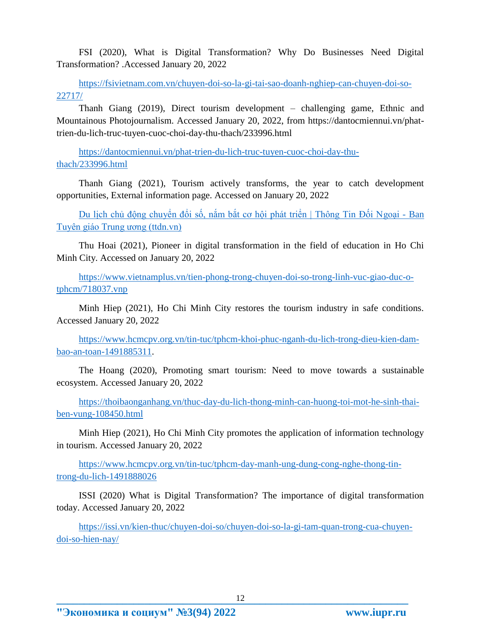FSI (2020), What is Digital Transformation? Why Do Businesses Need Digital Transformation? .Accessed January 20, 2022

[https://fsivietnam.com.vn/chuyen-doi-so-la-gi-tai-sao-doanh-nghiep-can-chuyen-doi-so-](https://fsivietnam.com.vn/chuyen-doi-so-la-gi-tai-sao-doanh-nghiep-can-chuyen-doi-so-22717/)[22717/](https://fsivietnam.com.vn/chuyen-doi-so-la-gi-tai-sao-doanh-nghiep-can-chuyen-doi-so-22717/)

Thanh Giang (2019), Direct tourism development – challenging game, Ethnic and Mountainous Photojournalism. Accessed January 20, 2022, from https://dantocmiennui.vn/phattrien-du-lich-truc-tuyen-cuoc-choi-day-thu-thach/233996.html

[https://dantocmiennui.vn/phat-trien-du-lich-truc-tuyen-cuoc-choi-day-thu](https://dantocmiennui.vn/phat-trien-du-lich-truc-tuyen-cuoc-choi-day-thu-thach/233996.html)[thach/233996.html](https://dantocmiennui.vn/phat-trien-du-lich-truc-tuyen-cuoc-choi-day-thu-thach/233996.html)

Thanh Giang (2021), Tourism actively transforms, the year to catch development opportunities, External information page. Accessed on January 20, 2022

[Du lịch chủ động chuyển đổi số, nắm bắt cơ hội phát triển | Thông Tin Đối Ngoại -](https://ttdn.vn/nghien-cuu-trao-doi/ly-luan-thuc-tien/du-lich-chu-dong-chuyen-doi-so-nam-bat-co-hoi-phat-trien-53323) Ban [Tuyên giáo Trung ương \(ttdn.vn\)](https://ttdn.vn/nghien-cuu-trao-doi/ly-luan-thuc-tien/du-lich-chu-dong-chuyen-doi-so-nam-bat-co-hoi-phat-trien-53323)

Thu Hoai (2021), Pioneer in digital transformation in the field of education in Ho Chi Minh City. Accessed on January 20, 2022

[https://www.vietnamplus.vn/tien-phong-trong-chuyen-doi-so-trong-linh-vuc-giao-duc-o](https://www.vietnamplus.vn/tien-phong-trong-chuyen-doi-so-trong-linh-vuc-giao-duc-o-tphcm/718037.vnp)[tphcm/718037.vnp](https://www.vietnamplus.vn/tien-phong-trong-chuyen-doi-so-trong-linh-vuc-giao-duc-o-tphcm/718037.vnp)

Minh Hiep (2021), Ho Chi Minh City restores the tourism industry in safe conditions. Accessed January 20, 2022

[https://www.hcmcpv.org.vn/tin-tuc/tphcm-khoi-phuc-nganh-du-lich-trong-dieu-kien-dam](https://www.hcmcpv.org.vn/tin-tuc/tphcm-khoi-phuc-nganh-du-lich-trong-dieu-kien-dam-bao-an-toan-1491885311)[bao-an-toan-1491885311.](https://www.hcmcpv.org.vn/tin-tuc/tphcm-khoi-phuc-nganh-du-lich-trong-dieu-kien-dam-bao-an-toan-1491885311)

The Hoang (2020), Promoting smart tourism: Need to move towards a sustainable ecosystem. Accessed January 20, 2022

[https://thoibaonganhang.vn/thuc-day-du-lich-thong-minh-can-huong-toi-mot-he-sinh-thai](https://thoibaonganhang.vn/thuc-day-du-lich-thong-minh-can-huong-toi-mot-he-sinh-thai-ben-vung-108450.html)[ben-vung-108450.html](https://thoibaonganhang.vn/thuc-day-du-lich-thong-minh-can-huong-toi-mot-he-sinh-thai-ben-vung-108450.html)

Minh Hiep (2021), Ho Chi Minh City promotes the application of information technology in tourism. Accessed January 20, 2022

[https://www.hcmcpv.org.vn/tin-tuc/tphcm-day-manh-ung-dung-cong-nghe-thong-tin](https://www.hcmcpv.org.vn/tin-tuc/tphcm-day-manh-ung-dung-cong-nghe-thong-tin-trong-du-lich-1491888026)[trong-du-lich-1491888026](https://www.hcmcpv.org.vn/tin-tuc/tphcm-day-manh-ung-dung-cong-nghe-thong-tin-trong-du-lich-1491888026)

ISSI (2020) What is Digital Transformation? The importance of digital transformation today. Accessed January 20, 2022

[https://issi.vn/kien-thuc/chuyen-doi-so/chuyen-doi-so-la-gi-tam-quan-trong-cua-chuyen](https://issi.vn/kien-thuc/chuyen-doi-so/chuyen-doi-so-la-gi-tam-quan-trong-cua-chuyen-doi-so-hien-nay/#:~:text=Chuy%E1%BB%83n%20%C4%91%E1%BB%95i%20s%E1%BB%91%20c%C3%B2n%20g%C3%B3p,s%E1%BB%91ng%20c%E1%BB%A7a%20ng%C6%B0%E1%BB%9Di%20ti%C3%AAu%20d%C3%B9ng)[doi-so-hien-nay/](https://issi.vn/kien-thuc/chuyen-doi-so/chuyen-doi-so-la-gi-tam-quan-trong-cua-chuyen-doi-so-hien-nay/#:~:text=Chuy%E1%BB%83n%20%C4%91%E1%BB%95i%20s%E1%BB%91%20c%C3%B2n%20g%C3%B3p,s%E1%BB%91ng%20c%E1%BB%A7a%20ng%C6%B0%E1%BB%9Di%20ti%C3%AAu%20d%C3%B9ng)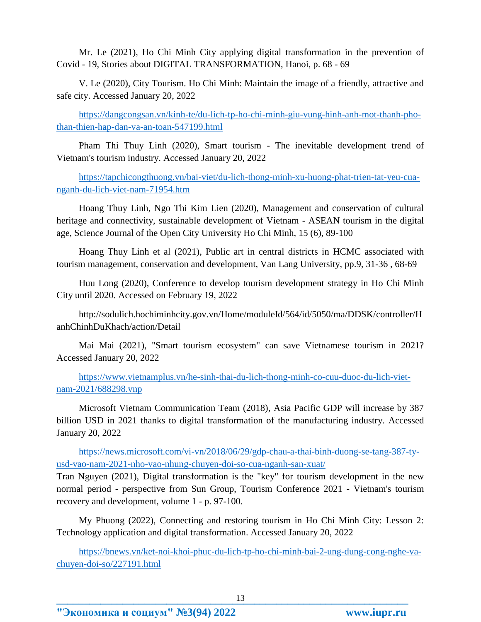Mr. Le (2021), Ho Chi Minh City applying digital transformation in the prevention of Covid - 19, Stories about DIGITAL TRANSFORMATION, Hanoi, p. 68 - 69

V. Le (2020), City Tourism. Ho Chi Minh: Maintain the image of a friendly, attractive and safe city. Accessed January 20, 2022

[https://dangcongsan.vn/kinh-te/du-lich-tp-ho-chi-minh-giu-vung-hinh-anh-mot-thanh-pho](https://dangcongsan.vn/kinh-te/du-lich-tp-ho-chi-minh-giu-vung-hinh-anh-mot-thanh-pho-than-thien-hap-dan-va-an-toan-547199.html)[than-thien-hap-dan-va-an-toan-547199.html](https://dangcongsan.vn/kinh-te/du-lich-tp-ho-chi-minh-giu-vung-hinh-anh-mot-thanh-pho-than-thien-hap-dan-va-an-toan-547199.html)

Pham Thi Thuy Linh (2020), Smart tourism - The inevitable development trend of Vietnam's tourism industry. Accessed January 20, 2022

[https://tapchicongthuong.vn/bai-viet/du-lich-thong-minh-xu-huong-phat-trien-tat-yeu-cua](https://tapchicongthuong.vn/bai-viet/du-lich-thong-minh-xu-huong-phat-trien-tat-yeu-cua-nganh-du-lich-viet-nam-71954.htm)[nganh-du-lich-viet-nam-71954.htm](https://tapchicongthuong.vn/bai-viet/du-lich-thong-minh-xu-huong-phat-trien-tat-yeu-cua-nganh-du-lich-viet-nam-71954.htm)

Hoang Thuy Linh, Ngo Thi Kim Lien (2020), Management and conservation of cultural heritage and connectivity, sustainable development of Vietnam - ASEAN tourism in the digital age, Science Journal of the Open City University Ho Chi Minh, 15 (6), 89-100

Hoang Thuy Linh et al (2021), Public art in central districts in HCMC associated with tourism management, conservation and development, Van Lang University, pp.9, 31-36 , 68-69

Huu Long (2020), Conference to develop tourism development strategy in Ho Chi Minh City until 2020. Accessed on February 19, 2022

http://sodulich.hochiminhcity.gov.vn/Home/moduleId/564/id/5050/ma/DDSK/controller/H anhChinhDuKhach/action/Detail

Mai Mai (2021), "Smart tourism ecosystem" can save Vietnamese tourism in 2021? Accessed January 20, 2022

[https://www.vietnamplus.vn/he-sinh-thai-du-lich-thong-minh-co-cuu-duoc-du-lich-viet](https://www.vietnamplus.vn/he-sinh-thai-du-lich-thong-minh-co-cuu-duoc-du-lich-viet-nam-2021/688298.vnp)[nam-2021/688298.vnp](https://www.vietnamplus.vn/he-sinh-thai-du-lich-thong-minh-co-cuu-duoc-du-lich-viet-nam-2021/688298.vnp)

Microsoft Vietnam Communication Team (2018), Asia Pacific GDP will increase by 387 billion USD in 2021 thanks to digital transformation of the manufacturing industry. Accessed January 20, 2022

[https://news.microsoft.com/vi-vn/2018/06/29/gdp-chau-a-thai-binh-duong-se-tang-387-ty](https://news.microsoft.com/vi-vn/2018/06/29/gdp-chau-a-thai-binh-duong-se-tang-387-ty-usd-vao-nam-2021-nho-vao-nhung-chuyen-doi-so-cua-nganh-san-xuat/)[usd-vao-nam-2021-nho-vao-nhung-chuyen-doi-so-cua-nganh-san-xuat/](https://news.microsoft.com/vi-vn/2018/06/29/gdp-chau-a-thai-binh-duong-se-tang-387-ty-usd-vao-nam-2021-nho-vao-nhung-chuyen-doi-so-cua-nganh-san-xuat/)

Tran Nguyen (2021), Digital transformation is the "key" for tourism development in the new normal period - perspective from Sun Group, Tourism Conference 2021 - Vietnam's tourism recovery and development, volume 1 - p. 97-100.

My Phuong (2022), Connecting and restoring tourism in Ho Chi Minh City: Lesson 2: Technology application and digital transformation. Accessed January 20, 2022

[https://bnews.vn/ket-noi-khoi-phuc-du-lich-tp-ho-chi-minh-bai-2-ung-dung-cong-nghe-va](https://bnews.vn/ket-noi-khoi-phuc-du-lich-tp-ho-chi-minh-bai-2-ung-dung-cong-nghe-va-chuyen-doi-so/227191.html)[chuyen-doi-so/227191.html](https://bnews.vn/ket-noi-khoi-phuc-du-lich-tp-ho-chi-minh-bai-2-ung-dung-cong-nghe-va-chuyen-doi-so/227191.html)